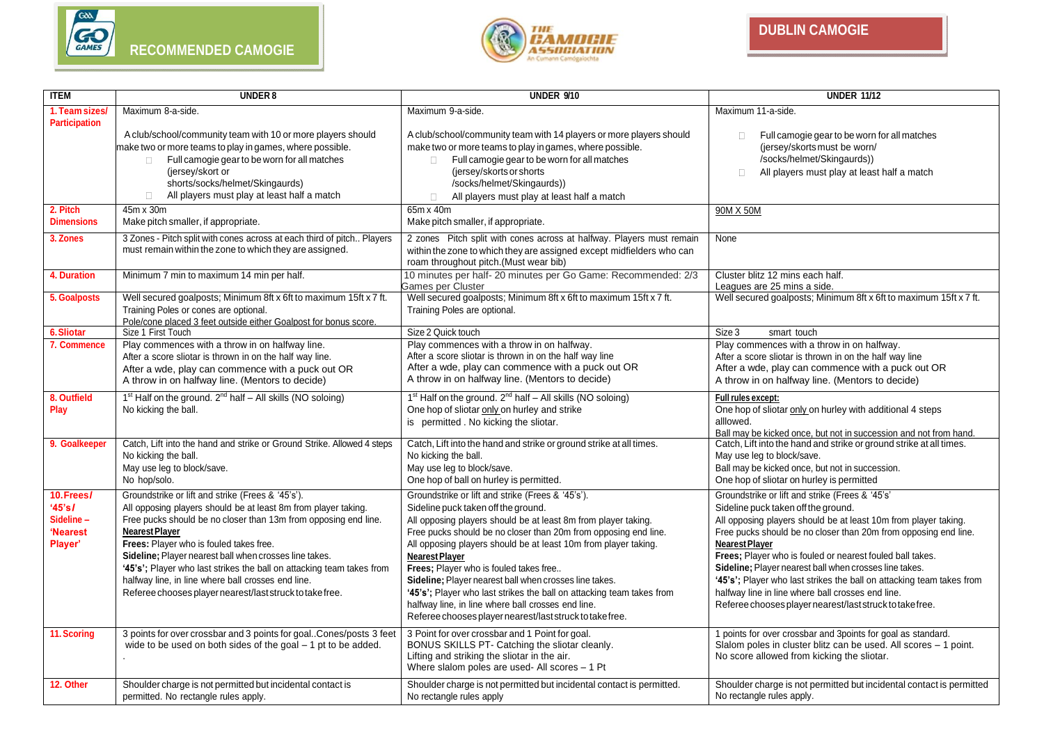



| <b>ITEM</b>                                             | <b>UNDER 8</b>                                                                                                                                                                                                                                                                                                                                                                                                                                                                                                  | <b>UNDER 9/10</b>                                                                                                                                                                                                                                                                                                                                                                                                                                                                                                                                                                                                                                                           | <b>UNDER 11/12</b>                                                                                                                                                                                                                                                                                                                                                                                                                                                                                                                                                     |
|---------------------------------------------------------|-----------------------------------------------------------------------------------------------------------------------------------------------------------------------------------------------------------------------------------------------------------------------------------------------------------------------------------------------------------------------------------------------------------------------------------------------------------------------------------------------------------------|-----------------------------------------------------------------------------------------------------------------------------------------------------------------------------------------------------------------------------------------------------------------------------------------------------------------------------------------------------------------------------------------------------------------------------------------------------------------------------------------------------------------------------------------------------------------------------------------------------------------------------------------------------------------------------|------------------------------------------------------------------------------------------------------------------------------------------------------------------------------------------------------------------------------------------------------------------------------------------------------------------------------------------------------------------------------------------------------------------------------------------------------------------------------------------------------------------------------------------------------------------------|
| 1. Team sizes<br><b>Participation</b>                   | Maximum 8-a-side.                                                                                                                                                                                                                                                                                                                                                                                                                                                                                               | Maximum 9-a-side.                                                                                                                                                                                                                                                                                                                                                                                                                                                                                                                                                                                                                                                           | Maximum 11-a-side.                                                                                                                                                                                                                                                                                                                                                                                                                                                                                                                                                     |
|                                                         | A club/school/community team with 10 or more players should<br>make two or more teams to play in games, where possible.<br>Full camogie gear to be worn for all matches<br>$\Box$<br>(jersey/skort or<br>shorts/socks/helmet/Skingaurds)<br>All players must play at least half a match<br>$\Box$                                                                                                                                                                                                               | A club/school/community team with 14 players or more players should<br>make two or more teams to play in games, where possible.<br>Full camogie gear to be worn for all matches<br>$\Box$<br>(jersey/skorts or shorts)<br>/socks/helmet/Skingaurds))<br>All players must play at least half a match<br>$\Box$                                                                                                                                                                                                                                                                                                                                                               | Full camogie gear to be worn for all matches<br>$\Box$<br>(jersey/skorts must be worn/<br>/socks/helmet/Skingaurds))<br>All players must play at least half a match<br>$\Box$                                                                                                                                                                                                                                                                                                                                                                                          |
| 2. Pitch<br><b>Dimensions</b>                           | 45m x 30m<br>Make pitch smaller, if appropriate.                                                                                                                                                                                                                                                                                                                                                                                                                                                                | 65m x 40m<br>Make pitch smaller, if appropriate.                                                                                                                                                                                                                                                                                                                                                                                                                                                                                                                                                                                                                            | 90M X 50M                                                                                                                                                                                                                                                                                                                                                                                                                                                                                                                                                              |
| 3. Zones                                                | 3 Zones - Pitch split with cones across at each third of pitch Players<br>must remain within the zone to which they are assigned.                                                                                                                                                                                                                                                                                                                                                                               | 2 zones Pitch split with cones across at halfway. Players must remain<br>within the zone to which they are assigned except midfielders who can<br>roam throughout pitch.(Must wear bib)                                                                                                                                                                                                                                                                                                                                                                                                                                                                                     | None                                                                                                                                                                                                                                                                                                                                                                                                                                                                                                                                                                   |
| 4. Duration                                             | Minimum 7 min to maximum 14 min per half.                                                                                                                                                                                                                                                                                                                                                                                                                                                                       | 10 minutes per half- 20 minutes per Go Game: Recommended: 2/3<br>Games per Cluster                                                                                                                                                                                                                                                                                                                                                                                                                                                                                                                                                                                          | Cluster blitz 12 mins each half.<br>Leagues are 25 mins a side.                                                                                                                                                                                                                                                                                                                                                                                                                                                                                                        |
| 5. Goalposts                                            | Well secured goalposts; Minimum 8ft x 6ft to maximum 15ft x 7 ft.<br>Training Poles or cones are optional.<br>Pole/cone placed 3 feet outside either Goalpost for bonus score.                                                                                                                                                                                                                                                                                                                                  | Well secured goalposts; Minimum 8ft x 6ft to maximum 15ft x 7 ft.<br>Training Poles are optional.                                                                                                                                                                                                                                                                                                                                                                                                                                                                                                                                                                           | Well secured goalposts; Minimum 8ft x 6ft to maximum 15ft x 7 ft.                                                                                                                                                                                                                                                                                                                                                                                                                                                                                                      |
| 6. Sliotar                                              | Size 1 First Touch                                                                                                                                                                                                                                                                                                                                                                                                                                                                                              | Size 2 Quick touch                                                                                                                                                                                                                                                                                                                                                                                                                                                                                                                                                                                                                                                          | Size 3<br>smart touch                                                                                                                                                                                                                                                                                                                                                                                                                                                                                                                                                  |
| 7. Commence                                             | Play commences with a throw in on halfway line.<br>After a score sliotar is thrown in on the half way line.<br>After a wde, play can commence with a puck out OR<br>A throw in on halfway line. (Mentors to decide)                                                                                                                                                                                                                                                                                             | Play commences with a throw in on halfway.<br>After a score sliotar is thrown in on the half way line<br>After a wde, play can commence with a puck out OR<br>A throw in on halfway line. (Mentors to decide)                                                                                                                                                                                                                                                                                                                                                                                                                                                               | Play commences with a throw in on halfway.<br>After a score sliotar is thrown in on the half way line<br>After a wde, play can commence with a puck out OR<br>A throw in on halfway line. (Mentors to decide)                                                                                                                                                                                                                                                                                                                                                          |
| 8. Outfield<br>Play                                     | 1 <sup>st</sup> Half on the ground. 2 <sup>nd</sup> half - All skills (NO soloing)<br>No kicking the ball.                                                                                                                                                                                                                                                                                                                                                                                                      | $1st$ Half on the ground. $2nd$ half – All skills (NO soloing)<br>One hop of sliotar only on hurley and strike<br>is permitted. No kicking the sliotar.                                                                                                                                                                                                                                                                                                                                                                                                                                                                                                                     | Full rules except:<br>One hop of sliotar only on hurley with additional 4 steps<br>alllowed.<br>Ball may be kicked once, but not in succession and not from hand.                                                                                                                                                                                                                                                                                                                                                                                                      |
| 9. Goalkeeper                                           | Catch, Lift into the hand and strike or Ground Strike. Allowed 4 steps<br>No kicking the ball<br>May use leg to block/save.<br>No hop/solo.                                                                                                                                                                                                                                                                                                                                                                     | Catch, Lift into the hand and strike or ground strike at all times.<br>No kicking the ball.<br>May use leg to block/save.<br>One hop of ball on hurley is permitted.                                                                                                                                                                                                                                                                                                                                                                                                                                                                                                        | Catch, Lift into the hand and strike or ground strike at all times.<br>May use leg to block/save.<br>Ball may be kicked once, but not in succession.<br>One hop of sliotar on hurley is permitted                                                                                                                                                                                                                                                                                                                                                                      |
| 10.Frees/<br>'45's/<br>Sideline-<br>'Nearest<br>Player' | Groundstrike or lift and strike (Frees & '45's').<br>All opposing players should be at least 8m from player taking.<br>Free pucks should be no closer than 13m from opposing end line.<br><b>Nearest Player</b><br>Frees: Player who is fouled takes free.<br>Sideline; Player nearest ball when crosses line takes.<br>'45's'; Player who last strikes the ball on attacking team takes from<br>halfway line, in line where ball crosses end line.<br>Referee chooses player nearest/last struck to take free. | Groundstrike or lift and strike (Frees & '45's').<br>Sideline puck taken off the ground.<br>All opposing players should be at least 8m from player taking.<br>Free pucks should be no closer than 20m from opposing end line.<br>All opposing players should be at least 10m from player taking.<br><b>Nearest Player</b><br>Frees; Player who is fouled takes free<br>Sideline; Player nearest ball when crosses line takes.<br>'45's'; Player who last strikes the ball on attacking team takes from<br>halfway line, in line where ball crosses end line.<br>Referee chooses player nearest/last struck to take free.<br>3 Point for over crossbar and 1 Point for goal. | Groundstrike or lift and strike (Frees & '45's'<br>Sideline puck taken off the ground.<br>All opposing players should be at least 10m from player taking.<br>Free pucks should be no closer than 20m from opposing end line.<br><b>Nearest Player</b><br>Frees; Player who is fouled or nearest fouled ball takes.<br>Sideline; Player nearest ball when crosses line takes.<br>'45's'; Player who last strikes the ball on attacking team takes from<br>halfway line in line where ball crosses end line.<br>Referee chooses player nearest/last struck to take free. |
| 11. Scoring                                             | 3 points for over crossbar and 3 points for goalCones/posts 3 feet<br>wide to be used on both sides of the goal $-1$ pt to be added.                                                                                                                                                                                                                                                                                                                                                                            | BONUS SKILLS PT- Catching the sliotar cleanly.<br>Lifting and striking the sliotar in the air.<br>Where slalom poles are used- All scores - 1 Pt                                                                                                                                                                                                                                                                                                                                                                                                                                                                                                                            | 1 points for over crossbar and 3points for goal as standard.<br>Slalom poles in cluster blitz can be used. All scores - 1 point.<br>No score allowed from kicking the sliotar.                                                                                                                                                                                                                                                                                                                                                                                         |
| 12. Other                                               | Shoulder charge is not permitted but incidental contact is<br>permitted. No rectangle rules apply.                                                                                                                                                                                                                                                                                                                                                                                                              | Shoulder charge is not permitted but incidental contact is permitted.<br>No rectangle rules apply                                                                                                                                                                                                                                                                                                                                                                                                                                                                                                                                                                           | Shoulder charge is not permitted but incidental contact is permitted<br>No rectangle rules apply.                                                                                                                                                                                                                                                                                                                                                                                                                                                                      |